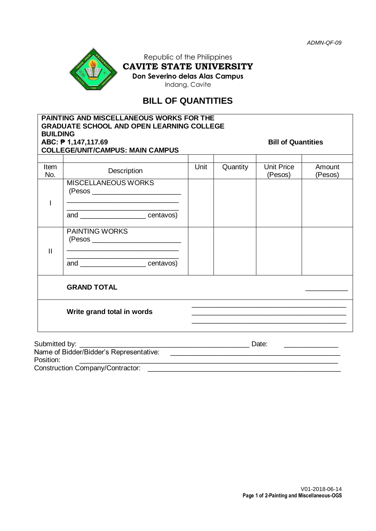

Construction Company/Contractor:

Republic of the Philippines **CAVITE STATE UNIVERSITY Don Severino delas Alas Campus**

Indang, Cavite

# **BILL OF QUANTITIES**

| <b>BUILDING</b>                                                  | PAINTING AND MISCELLANEOUS WORKS FOR THE<br><b>GRADUATE SCHOOL AND OPEN LEARNING COLLEGE</b>                                           |       |                           |                              |                   |  |
|------------------------------------------------------------------|----------------------------------------------------------------------------------------------------------------------------------------|-------|---------------------------|------------------------------|-------------------|--|
| ABC: $P 1,147,117.69$<br><b>COLLEGE/UNIT/CAMPUS: MAIN CAMPUS</b> |                                                                                                                                        |       | <b>Bill of Quantities</b> |                              |                   |  |
| <b>Item</b><br>No.                                               | <b>Description</b>                                                                                                                     | Unit  | Quantity                  | <b>Unit Price</b><br>(Pesos) | Amount<br>(Pesos) |  |
|                                                                  | <b>MISCELLANEOUS WORKS</b><br>the control of the control of the control of the control of the control of the control of the control of |       |                           |                              |                   |  |
|                                                                  | and _______________________centavos)                                                                                                   |       |                           |                              |                   |  |
| $\mathbf{H}$                                                     | <b>PAINTING WORKS</b><br><u> 1988 - Johann John Stone, meilich aus der Stone († 1988)</u>                                              |       |                           |                              |                   |  |
|                                                                  | <u> 1989 - Johann John Stone, mensk politik (d. 1989)</u><br>and centavos)                                                             |       |                           |                              |                   |  |
|                                                                  | <b>GRAND TOTAL</b>                                                                                                                     |       |                           |                              |                   |  |
|                                                                  | Write grand total in words                                                                                                             |       |                           |                              |                   |  |
| Submitted by: _______                                            |                                                                                                                                        | Date: |                           |                              |                   |  |
|                                                                  | Name of Bidder/Bidder's Representative:                                                                                                |       |                           |                              |                   |  |

Position: \_\_\_\_\_\_\_\_\_\_\_\_\_\_\_\_\_\_\_\_\_\_\_\_\_\_\_\_\_\_\_\_\_\_\_\_\_\_\_\_\_\_\_\_\_\_\_\_\_\_\_\_\_\_\_\_\_\_\_\_\_\_\_\_\_\_\_